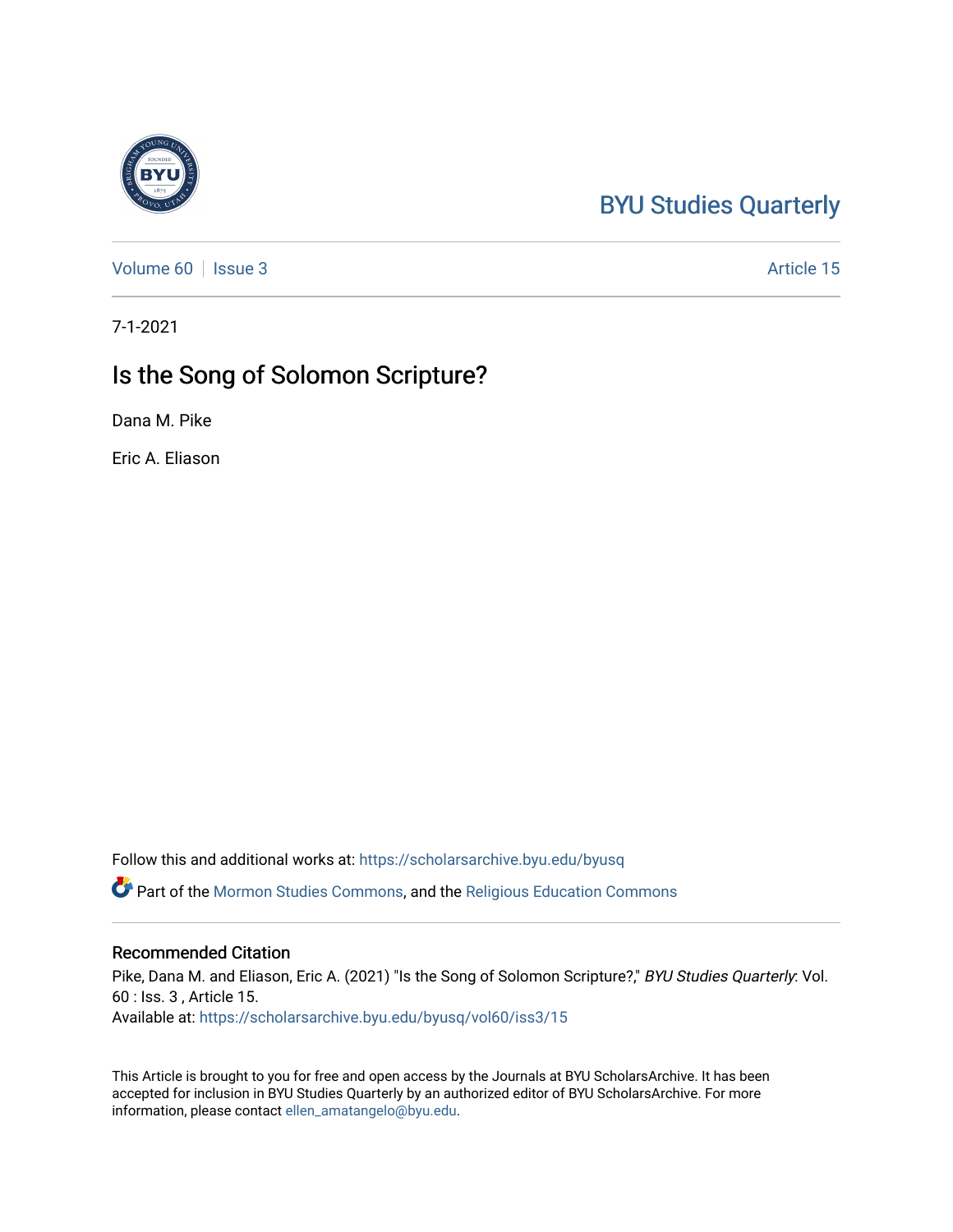# [BYU Studies Quarterly](https://scholarsarchive.byu.edu/byusq)

[Volume 60](https://scholarsarchive.byu.edu/byusq/vol60) | [Issue 3](https://scholarsarchive.byu.edu/byusq/vol60/iss3) Article 15

7-1-2021

## Is the Song of Solomon Scripture?

Dana M. Pike

Eric A. Eliason

Follow this and additional works at: [https://scholarsarchive.byu.edu/byusq](https://scholarsarchive.byu.edu/byusq?utm_source=scholarsarchive.byu.edu%2Fbyusq%2Fvol60%2Fiss3%2F15&utm_medium=PDF&utm_campaign=PDFCoverPages) 

Part of the [Mormon Studies Commons](http://network.bepress.com/hgg/discipline/1360?utm_source=scholarsarchive.byu.edu%2Fbyusq%2Fvol60%2Fiss3%2F15&utm_medium=PDF&utm_campaign=PDFCoverPages), and the [Religious Education Commons](http://network.bepress.com/hgg/discipline/1414?utm_source=scholarsarchive.byu.edu%2Fbyusq%2Fvol60%2Fiss3%2F15&utm_medium=PDF&utm_campaign=PDFCoverPages) 

### Recommended Citation

Pike, Dana M. and Eliason, Eric A. (2021) "Is the Song of Solomon Scripture?," BYU Studies Quarterly: Vol. 60 : Iss. 3 , Article 15. Available at: [https://scholarsarchive.byu.edu/byusq/vol60/iss3/15](https://scholarsarchive.byu.edu/byusq/vol60/iss3/15?utm_source=scholarsarchive.byu.edu%2Fbyusq%2Fvol60%2Fiss3%2F15&utm_medium=PDF&utm_campaign=PDFCoverPages) 

This Article is brought to you for free and open access by the Journals at BYU ScholarsArchive. It has been accepted for inclusion in BYU Studies Quarterly by an authorized editor of BYU ScholarsArchive. For more information, please contact [ellen\\_amatangelo@byu.edu.](mailto:ellen_amatangelo@byu.edu)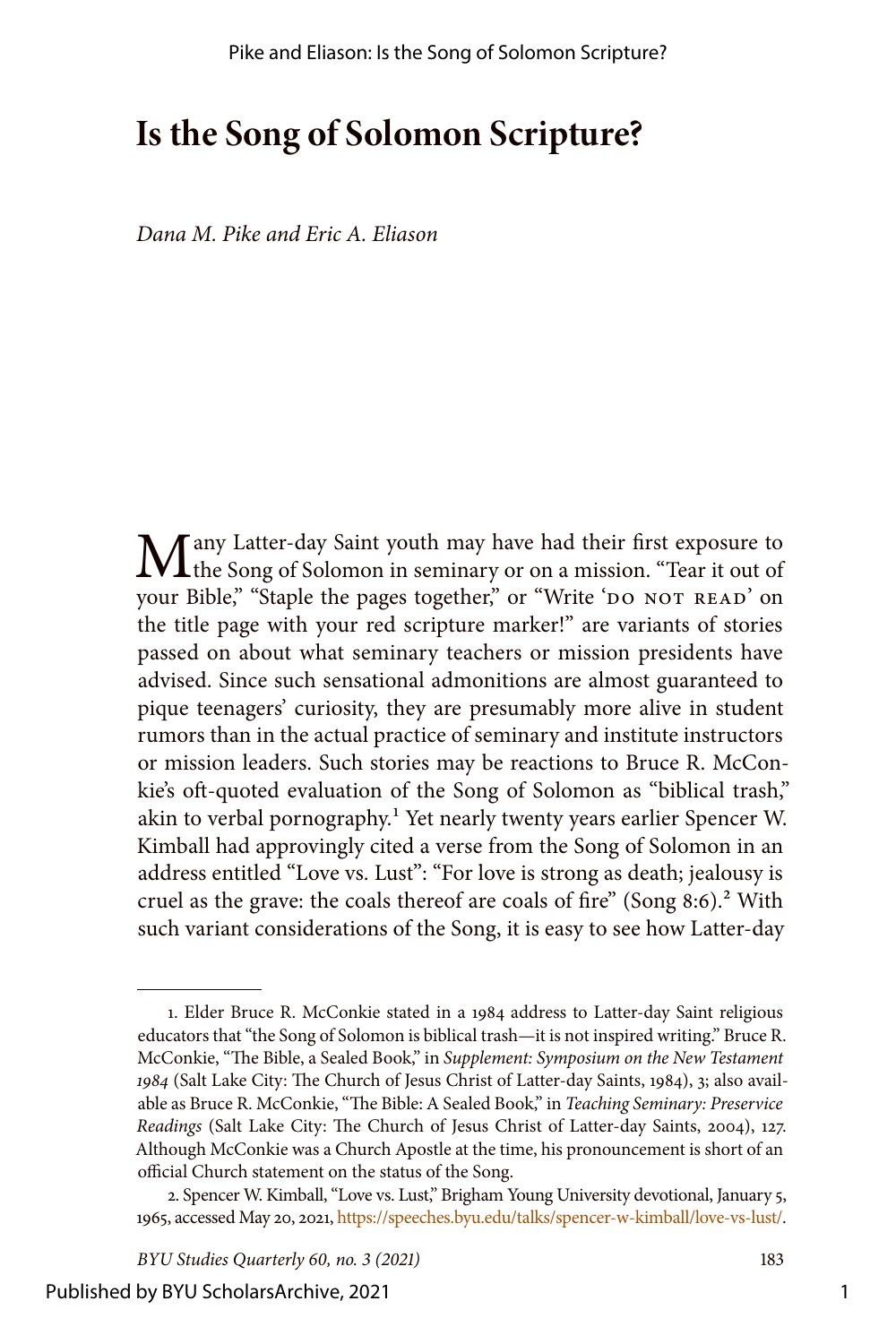## **Is the Song of Solomon Scripture?**

*Dana M. Pike and Eric A. Eliason*

**M**any Latter-day Saint youth may have had their first exposure to the Song of Solomon in seminary or on a mission. "Tear it out of your Bible," "Staple the pages together," or "Write 'DO NOT READ' on the title page with your red scripture marker!" are variants of stories passed on about what seminary teachers or mission presidents have advised. Since such sensational admonitions are almost guaranteed to pique teenagers' curiosity, they are presumably more alive in student rumors than in the actual practice of seminary and institute instructors or mission leaders. Such stories may be reactions to Bruce R. McConkie's oft-quoted evaluation of the Song of Solomon as "biblical trash," akin to verbal pornography.<sup>1</sup> Yet nearly twenty years earlier Spencer W. Kimball had approvingly cited a verse from the Song of Solomon in an address entitled "Love vs. Lust": "For love is strong as death; jealousy is cruel as the grave: the coals thereof are coals of fire" (Song  $8:6$ ).<sup>2</sup> With such variant considerations of the Song, it is easy to see how Latter-day

<sup>1.</sup> Elder Bruce R. McConkie stated in a 1984 address to Latter-day Saint religious educators that "the Song of Solomon is biblical trash—it is not inspired writing." Bruce R. McConkie, "The Bible, a Sealed Book," in *Supplement: Symposium on the New Testament 1984* (Salt Lake City: The Church of Jesus Christ of Latter-day Saints, 1984), 3; also available as Bruce R. McConkie, "The Bible: A Sealed Book," in *Teaching Seminary: Preservice Readings* (Salt Lake City: The Church of Jesus Christ of Latter-day Saints, 2004), 127. Although McConkie was a Church Apostle at the time, his pronouncement is short of an official Church statement on the status of the Song.

<sup>2.</sup> Spencer W. Kimball, "Love vs. Lust," Brigham Young University devotional, January 5, 1965, accessed May 20, 2021, <https://speeches.byu.edu/talks/spencer-w-kimball/love-vs-lust/>.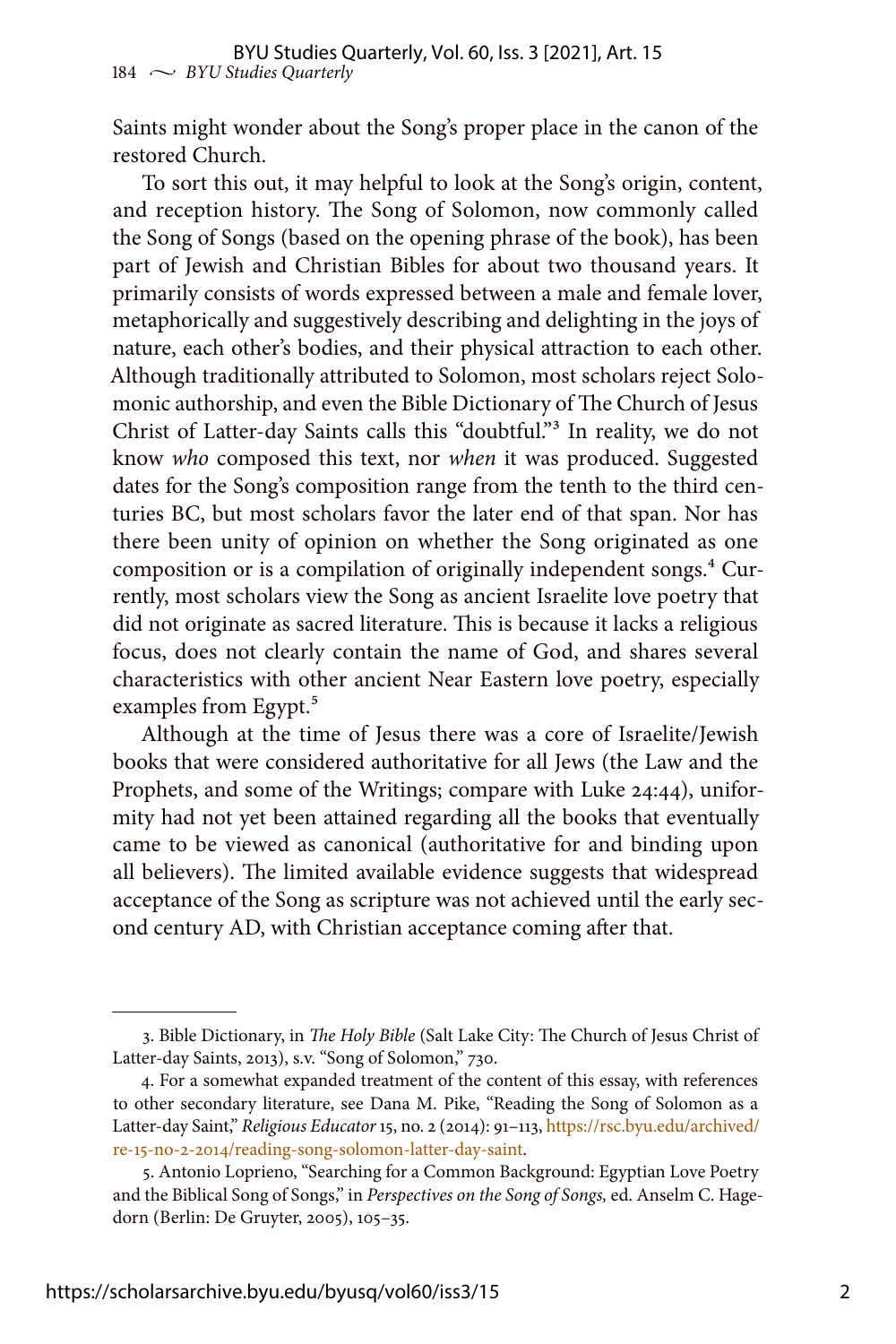Saints might wonder about the Song's proper place in the canon of the restored Church.

To sort this out, it may helpful to look at the Song's origin, content, and reception history. The Song of Solomon, now commonly called the Song of Songs (based on the opening phrase of the book), has been part of Jewish and Christian Bibles for about two thousand years. It primarily consists of words expressed between a male and female lover, metaphorically and suggestively describing and delighting in the joys of nature, each other's bodies, and their physical attraction to each other. Although traditionally attributed to Solomon, most scholars reject Solomonic authorship, and even the Bible Dictionary of The Church of Jesus Christ of Latter-day Saints calls this "doubtful."3 In reality, we do not know *who* composed this text, nor *when* it was produced. Suggested dates for the Song's composition range from the tenth to the third centuries BC, but most scholars favor the later end of that span. Nor has there been unity of opinion on whether the Song originated as one composition or is a compilation of originally independent songs.<sup>4</sup> Currently, most scholars view the Song as ancient Israelite love poetry that did not originate as sacred literature. This is because it lacks a religious focus, does not clearly contain the name of God, and shares several characteristics with other ancient Near Eastern love poetry, especially examples from Egypt.<sup>5</sup>

Although at the time of Jesus there was a core of Israelite/Jewish books that were considered authoritative for all Jews (the Law and the Prophets, and some of the Writings; compare with Luke 24:44), uniformity had not yet been attained regarding all the books that eventually came to be viewed as canonical (authoritative for and binding upon all believers). The limited available evidence suggests that widespread acceptance of the Song as scripture was not achieved until the early second century AD, with Christian acceptance coming after that.

<sup>3.</sup> Bible Dictionary, in *The Holy Bible* (Salt Lake City: The Church of Jesus Christ of Latter-day Saints, 2013), s.v. "Song of Solomon," 730.

<sup>4.</sup> For a somewhat expanded treatment of the content of this essay, with references to other secondary literature, see Dana M. Pike, "Reading the Song of Solomon as a Latter-day Saint," *Religious Educator* 15, no. 2 (2014): 91–113, [https://rsc.byu.edu/archived/](https://rsc.byu.edu/archived/re-15-no-2-2014/reading-song-solomon-latter-day-saint) [re-15-no-2-2014/reading-song-solomon-latter-day-saint](https://rsc.byu.edu/archived/re-15-no-2-2014/reading-song-solomon-latter-day-saint).

<sup>5.</sup> Antonio Loprieno, "Searching for a Common Background: Egyptian Love Poetry and the Biblical Song of Songs," in *Perspectives on the Song of Songs,* ed. Anselm C. Hagedorn (Berlin: De Gruyter, 2005), 105–35.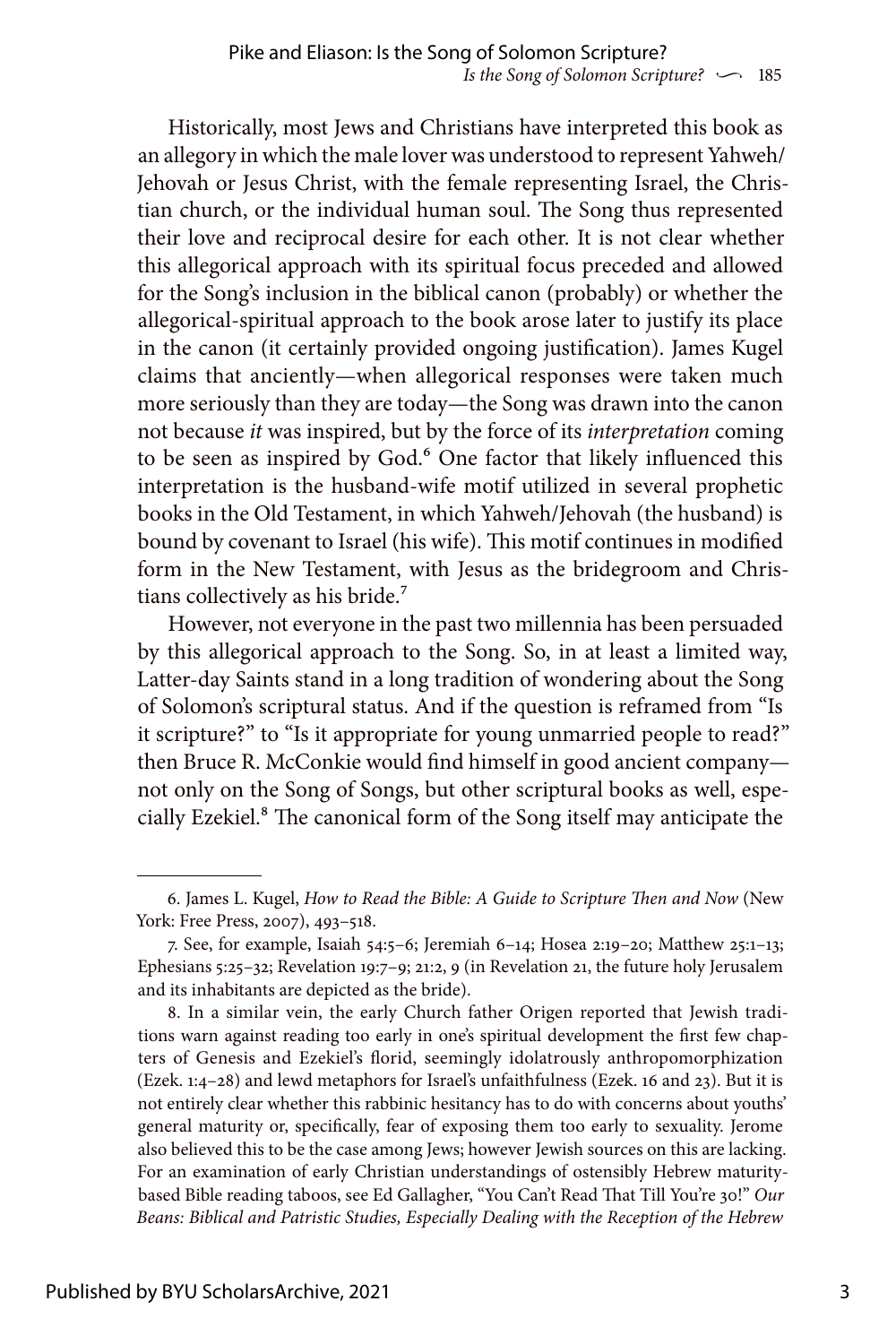Historically, most Jews and Christians have interpreted this book as an allegory in which the male lover was understood to represent Yahweh/ Jehovah or Jesus Christ, with the female representing Israel, the Christian church, or the individual human soul. The Song thus represented their love and reciprocal desire for each other. It is not clear whether this allegorical approach with its spiritual focus preceded and allowed for the Song's inclusion in the biblical canon (probably) or whether the allegorical-spiritual approach to the book arose later to justify its place in the canon (it certainly provided ongoing justification). James Kugel claims that anciently—when allegorical responses were taken much more seriously than they are today—the Song was drawn into the canon not because *it* was inspired, but by the force of its *interpretation* coming to be seen as inspired by God.<sup>6</sup> One factor that likely influenced this interpretation is the husband-wife motif utilized in several prophetic books in the Old Testament, in which Yahweh/Jehovah (the husband) is bound by covenant to Israel (his wife). This motif continues in modified form in the New Testament, with Jesus as the bridegroom and Christians collectively as his bride.<sup>7</sup>

However, not everyone in the past two millennia has been persuaded by this allegorical approach to the Song. So, in at least a limited way, Latter-day Saints stand in a long tradition of wondering about the Song of Solomon's scriptural status. And if the question is reframed from "Is it scripture?" to "Is it appropriate for young unmarried people to read?" then Bruce R. McConkie would find himself in good ancient company not only on the Song of Songs, but other scriptural books as well, especially Ezekiel.<sup>8</sup> The canonical form of the Song itself may anticipate the

<sup>6.</sup> James L. Kugel, *How to Read the Bible: A Guide to Scripture Then and Now* (New York: Free Press, 2007), 493–518.

<sup>7.</sup> See, for example, Isaiah 54:5–6; Jeremiah 6–14; Hosea 2:19–20; Matthew 25:1–13; Ephesians 5:25–32; Revelation 19:7–9; 21:2, 9 (in Revelation 21, the future holy Jerusalem and its inhabitants are depicted as the bride).

<sup>8.</sup> In a similar vein, the early Church father Origen reported that Jewish traditions warn against reading too early in one's spiritual development the first few chapters of Genesis and Ezekiel's florid, seemingly idolatrously anthropomorphization (Ezek. 1:4–28) and lewd metaphors for Israel's unfaithfulness (Ezek. 16 and 23). But it is not entirely clear whether this rabbinic hesitancy has to do with concerns about youths' general maturity or, specifically, fear of exposing them too early to sexuality. Jerome also believed this to be the case among Jews; however Jewish sources on this are lacking. For an examination of early Christian understandings of ostensibly Hebrew maturitybased Bible reading taboos, see Ed Gallagher, "You Can't Read That Till You're 30!" *Our Beans: Biblical and Patristic Studies, Especially Dealing with the Reception of the Hebrew*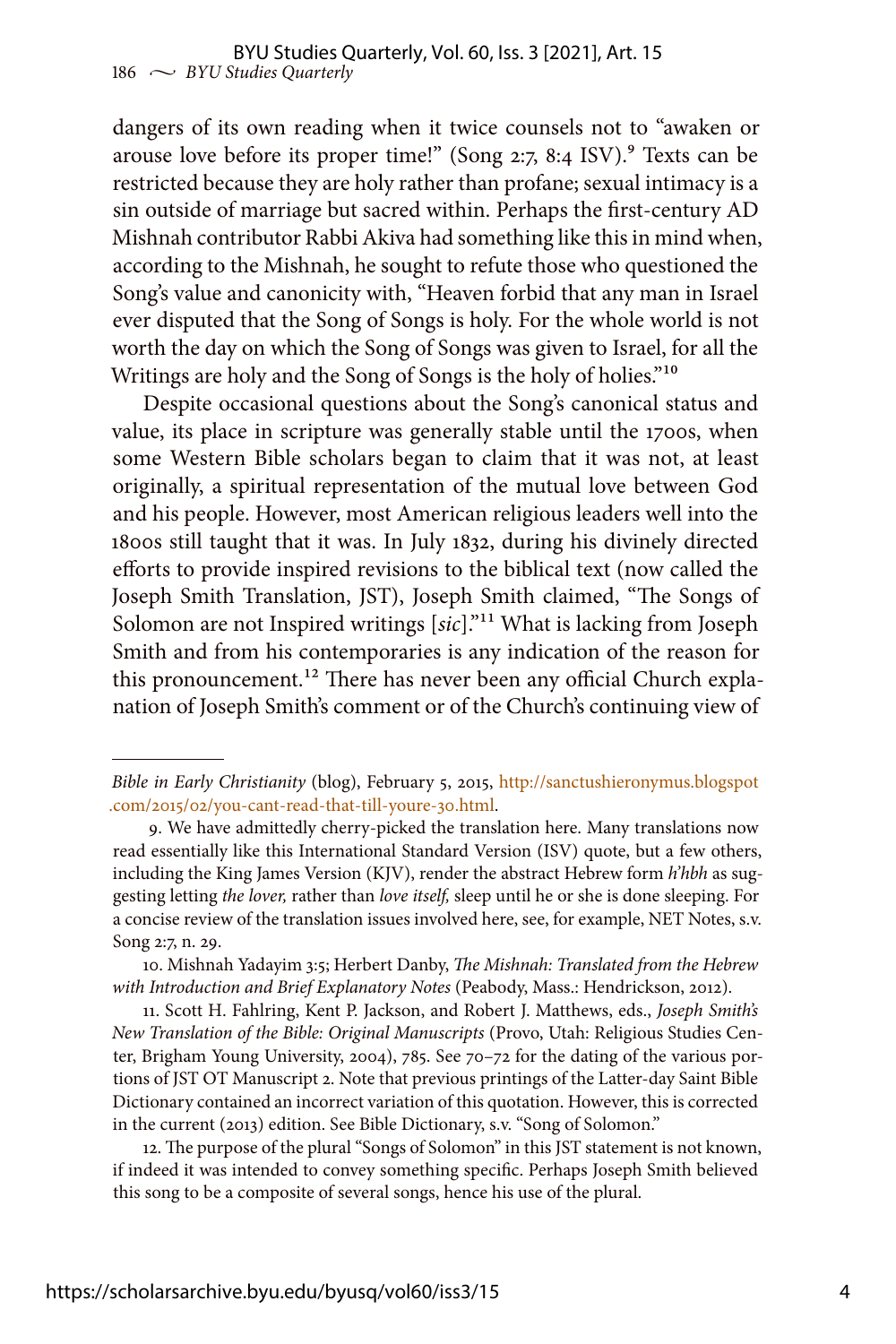dangers of its own reading when it twice counsels not to "awaken or arouse love before its proper time!" (Song  $2:7, 8:4$  ISV).<sup>9</sup> Texts can be restricted because they are holy rather than profane; sexual intimacy is a sin outside of marriage but sacred within. Perhaps the first-century AD Mishnah contributor Rabbi Akiva had something like this in mind when, according to the Mishnah, he sought to refute those who questioned the Song's value and canonicity with, "Heaven forbid that any man in Israel ever disputed that the Song of Songs is holy. For the whole world is not worth the day on which the Song of Songs was given to Israel, for all the Writings are holy and the Song of Songs is the holy of holies."<sup>10</sup>

Despite occasional questions about the Song's canonical status and value, its place in scripture was generally stable until the 1700s, when some Western Bible scholars began to claim that it was not, at least originally, a spiritual representation of the mutual love between God and his people. However, most American religious leaders well into the 1800s still taught that it was. In July 1832, during his divinely directed efforts to provide inspired revisions to the biblical text (now called the Joseph Smith Translation, JST), Joseph Smith claimed, "The Songs of Solomon are not Inspired writings [*sic*]."11 What is lacking from Joseph Smith and from his contemporaries is any indication of the reason for this pronouncement.<sup>12</sup> There has never been any official Church explanation of Joseph Smith's comment or of the Church's continuing view of

11. Scott H. Fahlring, Kent P. Jackson, and Robert J. Matthews, eds., *Joseph Smith's New Translation of the Bible: Original Manuscripts* (Provo, Utah: Religious Studies Center, Brigham Young University, 2004), 785. See 70–72 for the dating of the various portions of JST OT Manuscript 2. Note that previous printings of the Latter-day Saint Bible Dictionary contained an incorrect variation of this quotation. However, this is corrected in the current (2013) edition. See Bible Dictionary, s.v. "Song of Solomon."

12. The purpose of the plural "Songs of Solomon" in this JST statement is not known, if indeed it was intended to convey something specific. Perhaps Joseph Smith believed this song to be a composite of several songs, hence his use of the plural.

*Bible in Early Christianity* (blog), February 5, 2015, [http://sanctushieronymus.blogspot](http://sanctushieronymus.blogspot.com/2015/02/you-cant-read-that-till-youre-30.html) [.com/2015/02/you-cant-read-that-till-youre-30.html](http://sanctushieronymus.blogspot.com/2015/02/you-cant-read-that-till-youre-30.html).

<sup>9.</sup> We have admittedly cherry-picked the translation here. Many translations now read essentially like this International Standard Version (ISV) quote, but a few others, including the King James Version (KJV), render the abstract Hebrew form *h'hbh* as suggesting letting *the lover,* rather than *love itself,* sleep until he or she is done sleeping. For a concise review of the translation issues involved here, see, for example, NET Notes, s.v. Song 2:7, n. 29.

<sup>10.</sup> Mishnah Yadayim 3:5; Herbert Danby, *The Mishnah: Translated from the Hebrew with Introduction and Brief Explanatory Notes* (Peabody, Mass.: Hendrickson, 2012).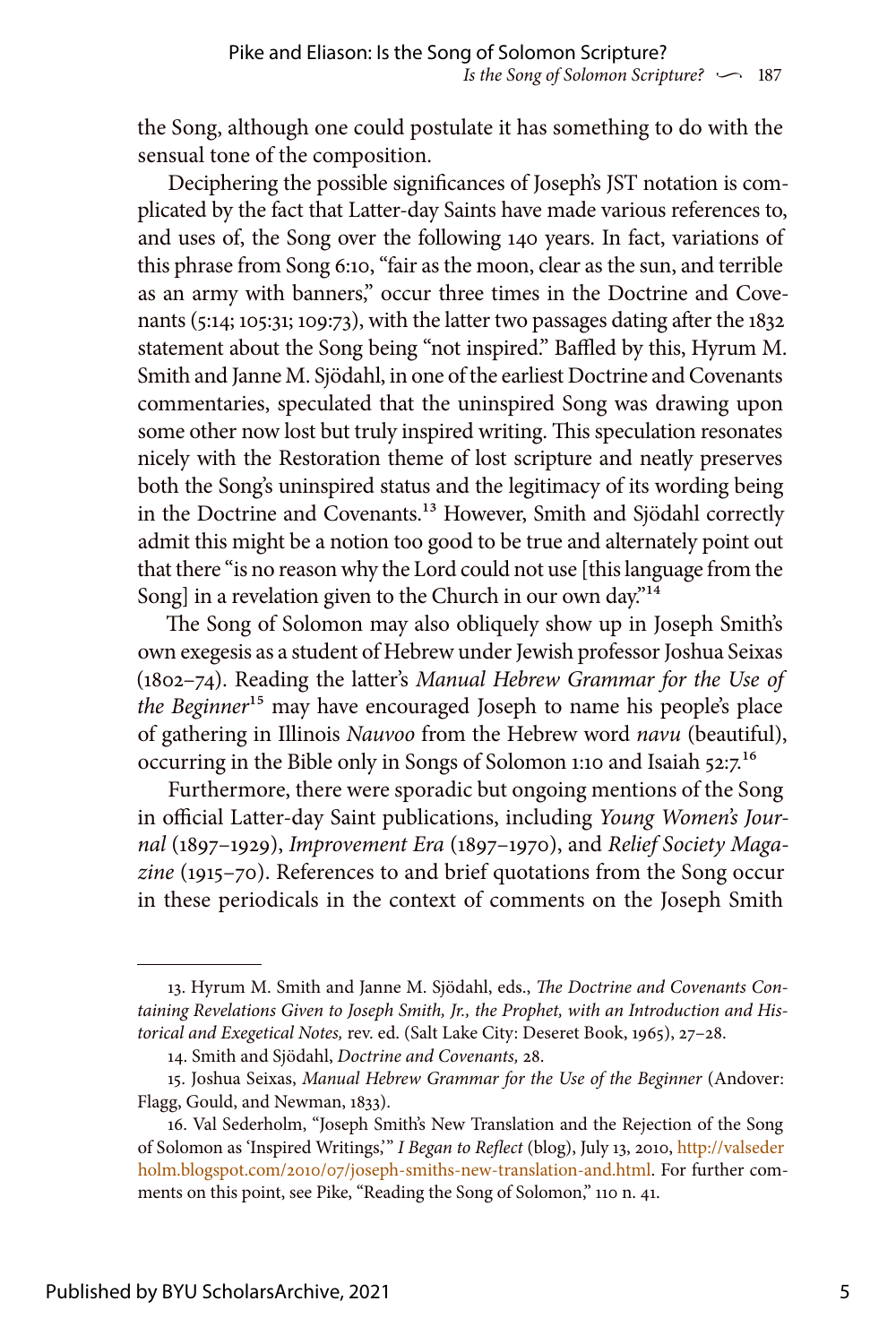the Song, although one could postulate it has something to do with the sensual tone of the composition.

Deciphering the possible significances of Joseph's JST notation is complicated by the fact that Latter-day Saints have made various references to, and uses of, the Song over the following 140 years. In fact, variations of this phrase from Song 6:10, "fair as the moon, clear as the sun, and terrible as an army with banners," occur three times in the Doctrine and Covenants (5:14; 105:31; 109:73), with the latter two passages dating after the 1832 statement about the Song being "not inspired." Baffled by this, Hyrum M. Smith and Janne M. Sjödahl, in one of the earliest Doctrine and Covenants commentaries, speculated that the uninspired Song was drawing upon some other now lost but truly inspired writing. This speculation resonates nicely with the Restoration theme of lost scripture and neatly preserves both the Song's uninspired status and the legitimacy of its wording being in the Doctrine and Covenants.<sup>13</sup> However, Smith and Sjödahl correctly admit this might be a notion too good to be true and alternately point out that there "is no reason why the Lord could not use [this language from the Song] in a revelation given to the Church in our own day."<sup>14</sup>

The Song of Solomon may also obliquely show up in Joseph Smith's own exegesis as a student of Hebrew under Jewish professor Joshua Seixas (1802–74). Reading the latter's *Manual Hebrew Grammar for the Use of the Beginner*15 may have encouraged Joseph to name his people's place of gathering in Illinois *Nauvoo* from the Hebrew word *navu* (beautiful), occurring in the Bible only in Songs of Solomon 1:10 and Isaiah 52:7.16

Furthermore, there were sporadic but ongoing mentions of the Song in official Latter-day Saint publications, including *Young Women's Journal* (1897–1929), *Improvement Era* (1897–1970), and *Relief Society Magazine* (1915–70). References to and brief quotations from the Song occur in these periodicals in the context of comments on the Joseph Smith

<sup>13.</sup> Hyrum M. Smith and Janne M. Sjödahl, eds., *The Doctrine and Covenants Containing Revelations Given to Joseph Smith, Jr., the Prophet, with an Introduction and Historical and Exegetical Notes,* rev. ed. (Salt Lake City: Deseret Book, 1965), 27–28.

<sup>14.</sup> Smith and Sjödahl, *Doctrine and Covenants,* 28.

<sup>15.</sup> Joshua Seixas, *Manual Hebrew Grammar for the Use of the Beginner* (Andover: Flagg, Gould, and Newman, 1833).

<sup>16.</sup> Val Sederholm, "Joseph Smith's New Translation and the Rejection of the Song of Solomon as 'Inspired Writings,'" *I Began to Reflect* (blog), July 13, 2010, [http://valseder](http://valsederholm.blogspot.com/2010/07/joseph-smiths-new-translation-and.html) [holm.blogspot.com/2010/07/joseph-smiths-new-translation-and.html.](http://valsederholm.blogspot.com/2010/07/joseph-smiths-new-translation-and.html) For further comments on this point, see Pike, "Reading the Song of Solomon," 110 n. 41.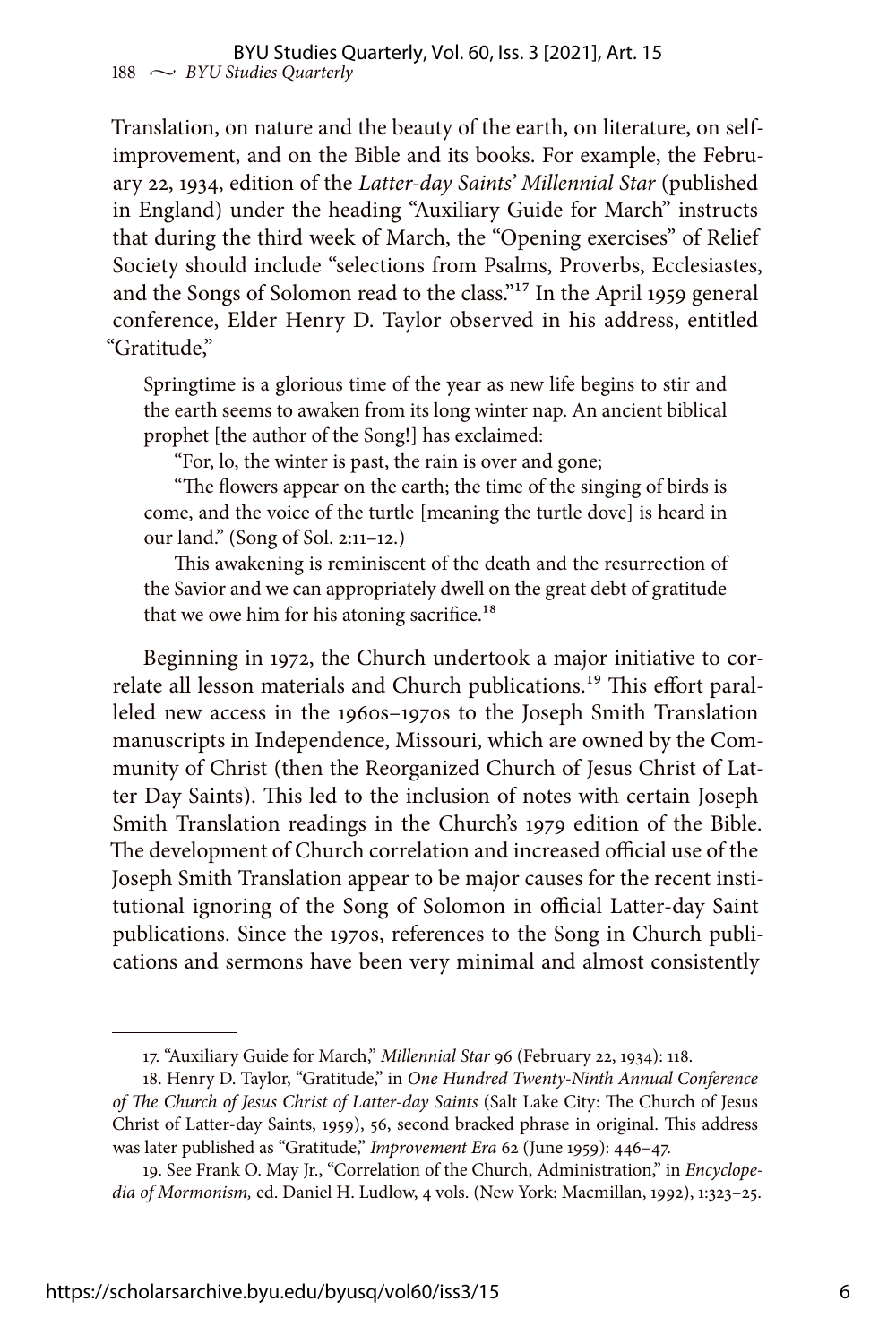Translation, on nature and the beauty of the earth, on literature, on selfimprovement, and on the Bible and its books. For example, the February 22, 1934, edition of the *Latter-day Saints' Millennial Star* (published in England) under the heading "Auxiliary Guide for March" instructs that during the third week of March, the "Opening exercises" of Relief Society should include "selections from Psalms, Proverbs, Ecclesiastes, and the Songs of Solomon read to the class."17 In the April 1959 general conference, Elder Henry D. Taylor observed in his address, entitled "Gratitude,"

Springtime is a glorious time of the year as new life begins to stir and the earth seems to awaken from its long winter nap. An ancient biblical prophet [the author of the Song!] has exclaimed:

"For, lo, the winter is past, the rain is over and gone;

"The flowers appear on the earth; the time of the singing of birds is come, and the voice of the turtle [meaning the turtle dove] is heard in our land." (Song of Sol. 2:11–12.)

This awakening is reminiscent of the death and the resurrection of the Savior and we can appropriately dwell on the great debt of gratitude that we owe him for his atoning sacrifice.<sup>18</sup>

Beginning in 1972, the Church undertook a major initiative to correlate all lesson materials and Church publications.<sup>19</sup> This effort paralleled new access in the 1960s–1970s to the Joseph Smith Translation manuscripts in Independence, Missouri, which are owned by the Community of Christ (then the Reorganized Church of Jesus Christ of Latter Day Saints). This led to the inclusion of notes with certain Joseph Smith Translation readings in the Church's 1979 edition of the Bible. The development of Church correlation and increased official use of the Joseph Smith Translation appear to be major causes for the recent institutional ignoring of the Song of Solomon in official Latter-day Saint publications. Since the 1970s, references to the Song in Church publications and sermons have been very minimal and almost consistently

<sup>17. &</sup>quot;Auxiliary Guide for March," *Millennial Star* 96 (February 22, 1934): 118.

<sup>18.</sup> Henry D. Taylor, "Gratitude," in *One Hundred Twenty-Ninth Annual Conference of The Church of Jesus Christ of Latter-day Saints* (Salt Lake City: The Church of Jesus Christ of Latter-day Saints, 1959), 56, second bracked phrase in original. This address was later published as "Gratitude," *Improvement Era* 62 (June 1959): 446–47.

<sup>19.</sup> See Frank O. May Jr., "Correlation of the Church, Administration," in *Encyclopedia of Mormonism,* ed. Daniel H. Ludlow, 4 vols. (New York: Macmillan, 1992), 1:323–25.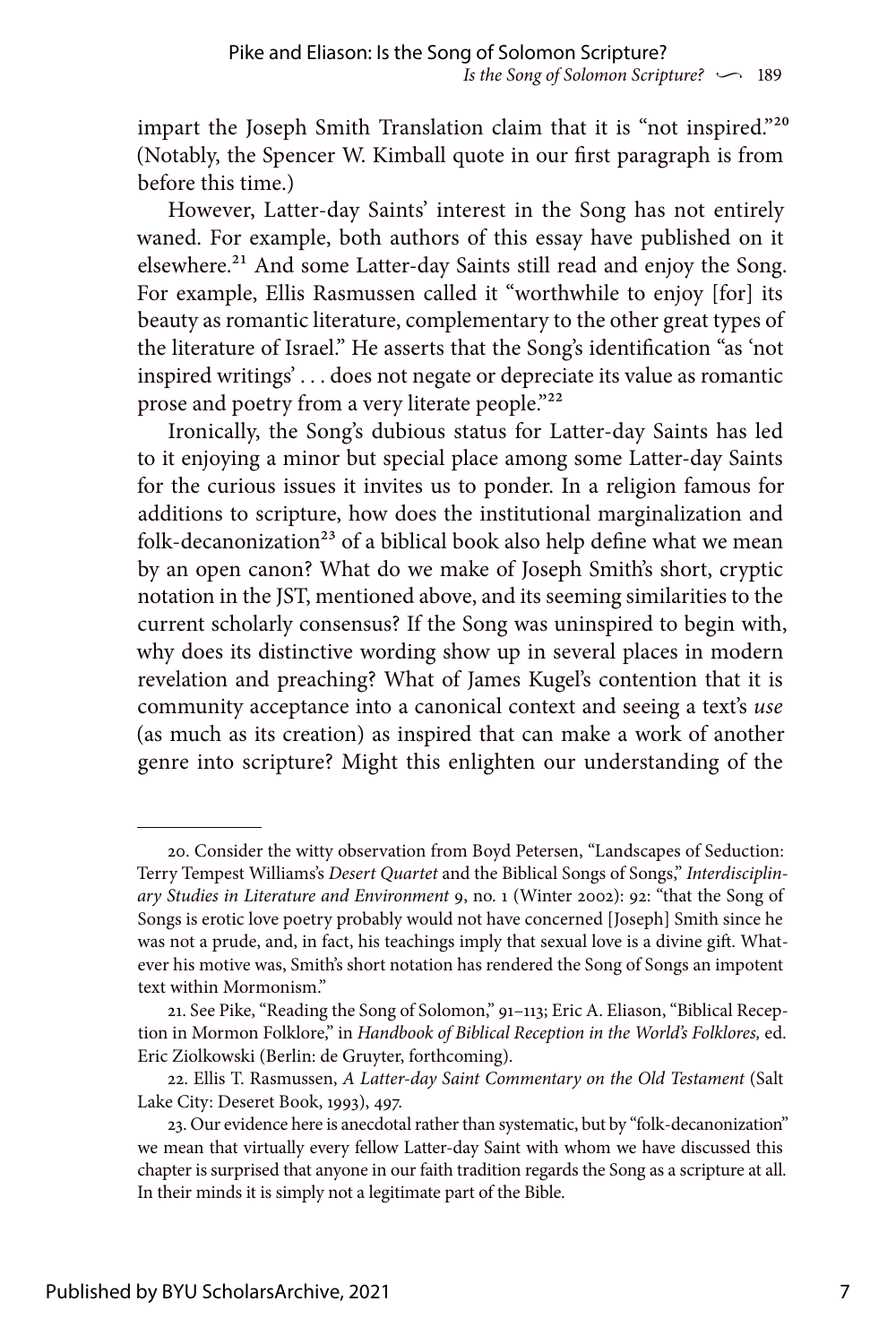impart the Joseph Smith Translation claim that it is "not inspired."<sup>20</sup> (Notably, the Spencer W. Kimball quote in our first paragraph is from before this time.)

However, Latter-day Saints' interest in the Song has not entirely waned. For example, both authors of this essay have published on it elsewhere.<sup>21</sup> And some Latter-day Saints still read and enjoy the Song. For example, Ellis Rasmussen called it "worthwhile to enjoy [for] its beauty as romantic literature, complementary to the other great types of the literature of Israel." He asserts that the Song's identification "as 'not inspired writings' . . . does not negate or depreciate its value as romantic prose and poetry from a very literate people."<sup>22</sup>

Ironically, the Song's dubious status for Latter-day Saints has led to it enjoying a minor but special place among some Latter-day Saints for the curious issues it invites us to ponder. In a religion famous for additions to scripture, how does the institutional marginalization and folk-decanonization<sup>23</sup> of a biblical book also help define what we mean by an open canon? What do we make of Joseph Smith's short, cryptic notation in the JST, mentioned above, and its seeming similarities to the current scholarly consensus? If the Song was uninspired to begin with, why does its distinctive wording show up in several places in modern revelation and preaching? What of James Kugel's contention that it is community acceptance into a canonical context and seeing a text's *use* (as much as its creation) as inspired that can make a work of another genre into scripture? Might this enlighten our understanding of the

<sup>20.</sup> Consider the witty observation from Boyd Petersen, "Landscapes of Seduction: Terry Tempest Williams's *Desert Quartet* and the Biblical Songs of Songs," *Interdisciplinary Studies in Literature and Environment* 9, no. 1 (Winter 2002): 92: "that the Song of Songs is erotic love poetry probably would not have concerned [Joseph] Smith since he was not a prude, and, in fact, his teachings imply that sexual love is a divine gift. Whatever his motive was, Smith's short notation has rendered the Song of Songs an impotent text within Mormonism."

<sup>21.</sup> See Pike, "Reading the Song of Solomon," 91–113; Eric A. Eliason, "Biblical Reception in Mormon Folklore," in *Handbook of Biblical Reception in the World's Folklores,* ed. Eric Ziolkowski (Berlin: de Gruyter, forthcoming).

<sup>22.</sup> Ellis T. Rasmussen, *A Latter-day Saint Commentary on the Old Testament* (Salt Lake City: Deseret Book, 1993), 497.

<sup>23.</sup> Our evidence here is anecdotal rather than systematic, but by "folk-decanonization" we mean that virtually every fellow Latter-day Saint with whom we have discussed this chapter is surprised that anyone in our faith tradition regards the Song as a scripture at all. In their minds it is simply not a legitimate part of the Bible.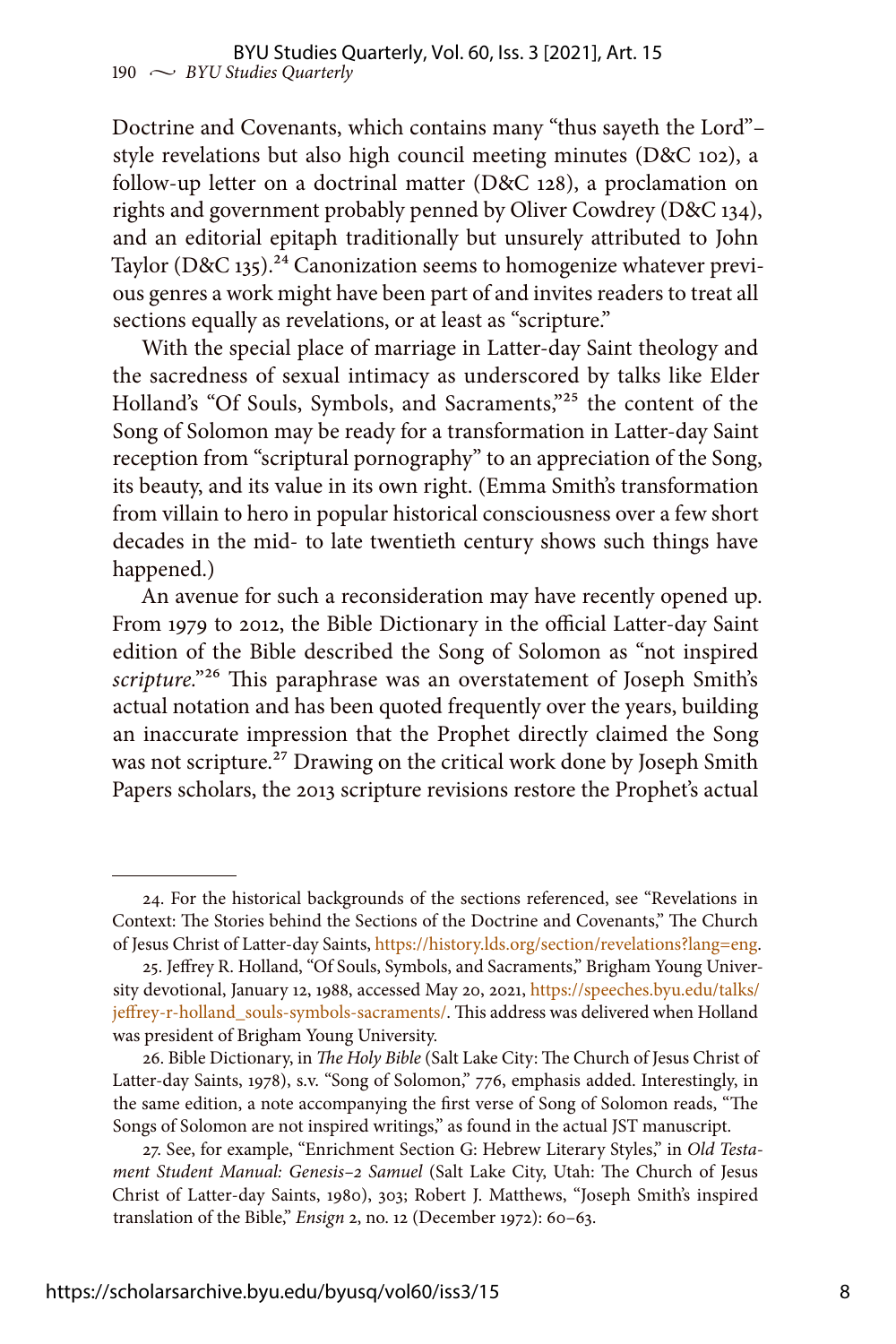Doctrine and Covenants, which contains many "thus sayeth the Lord"– style revelations but also high council meeting minutes (D&C 102), a follow-up letter on a doctrinal matter (D&C 128), a proclamation on rights and government probably penned by Oliver Cowdrey (D&C 134), and an editorial epitaph traditionally but unsurely attributed to John Taylor (D&C 135).<sup>24</sup> Canonization seems to homogenize whatever previous genres a work might have been part of and invites readers to treat all sections equally as revelations, or at least as "scripture."

With the special place of marriage in Latter-day Saint theology and the sacredness of sexual intimacy as underscored by talks like Elder Holland's "Of Souls, Symbols, and Sacraments,"25 the content of the Song of Solomon may be ready for a transformation in Latter-day Saint reception from "scriptural pornography" to an appreciation of the Song, its beauty, and its value in its own right. (Emma Smith's transformation from villain to hero in popular historical consciousness over a few short decades in the mid- to late twentieth century shows such things have happened.)

An avenue for such a reconsideration may have recently opened up. From 1979 to 2012, the Bible Dictionary in the official Latter-day Saint edition of the Bible described the Song of Solomon as "not inspired *scripture.*"26 This paraphrase was an overstatement of Joseph Smith's actual notation and has been quoted frequently over the years, building an inaccurate impression that the Prophet directly claimed the Song was not scripture.<sup>27</sup> Drawing on the critical work done by Joseph Smith Papers scholars, the 2013 scripture revisions restore the Prophet's actual

<sup>24.</sup> For the historical backgrounds of the sections referenced, see "Revelations in Context: The Stories behind the Sections of the Doctrine and Covenants," The Church of Jesus Christ of Latter-day Saints, <https://history.lds.org/section/revelations?lang=eng>.

<sup>25.</sup> Jeffrey R. Holland, "Of Souls, Symbols, and Sacraments," Brigham Young University devotional, January 12, 1988, accessed May 20, 2021, [https://speeches.byu.edu/talks/](https://speeches.byu.edu/talks/jeffrey-r-holland_souls-symbols-sacraments/) [jeffrey-r-holland\\_souls-symbols-sacraments/](https://speeches.byu.edu/talks/jeffrey-r-holland_souls-symbols-sacraments/). This address was delivered when Holland was president of Brigham Young University.

<sup>26.</sup> Bible Dictionary, in *The Holy Bible* (Salt Lake City: The Church of Jesus Christ of Latter-day Saints, 1978), s.v. "Song of Solomon," 776, emphasis added. Interestingly, in the same edition, a note accompanying the first verse of Song of Solomon reads, "The Songs of Solomon are not inspired writings," as found in the actual JST manuscript.

<sup>27.</sup> See, for example, "Enrichment Section G: Hebrew Literary Styles," in *Old Testament Student Manual: Genesis–2 Samuel* (Salt Lake City, Utah: The Church of Jesus Christ of Latter-day Saints, 1980), 303; Robert J. Matthews, "Joseph Smith's inspired translation of the Bible," *Ensign* 2, no. 12 (December 1972): 60–63.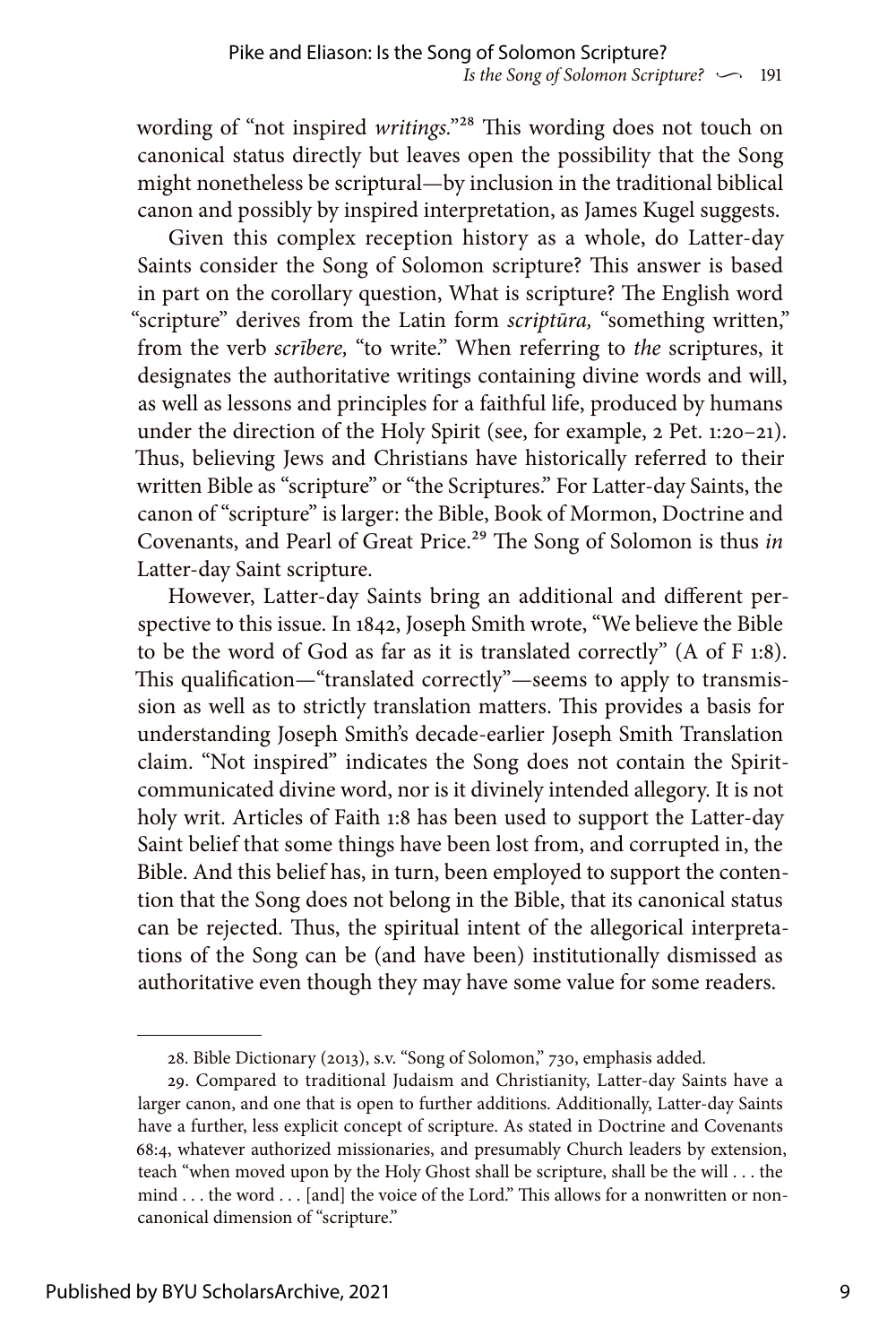wording of "not inspired *writings.*"28 This wording does not touch on canonical status directly but leaves open the possibility that the Song might nonetheless be scriptural—by inclusion in the traditional biblical canon and possibly by inspired interpretation, as James Kugel suggests.

Given this complex reception history as a whole, do Latter-day Saints consider the Song of Solomon scripture? This answer is based in part on the corollary question, What is scripture? The English word "scripture" derives from the Latin form *scriptūra,* "something written," from the verb *scrībere,* "to write." When referring to *the* scriptures, it designates the authoritative writings containing divine words and will, as well as lessons and principles for a faithful life, produced by humans under the direction of the Holy Spirit (see, for example, 2 Pet. 1:20–21). Thus, believing Jews and Christians have historically referred to their written Bible as "scripture" or "the Scriptures." For Latter-day Saints, the canon of "scripture" is larger: the Bible, Book of Mormon, Doctrine and Covenants, and Pearl of Great Price.29 The Song of Solomon is thus *in* Latter-day Saint scripture.

However, Latter-day Saints bring an additional and different perspective to this issue. In 1842, Joseph Smith wrote, "We believe the Bible to be the word of God as far as it is translated correctly" (A of F 1:8). This qualification—"translated correctly"—seems to apply to transmission as well as to strictly translation matters. This provides a basis for understanding Joseph Smith's decade-earlier Joseph Smith Translation claim. "Not inspired" indicates the Song does not contain the Spiritcommunicated divine word, nor is it divinely intended allegory. It is not holy writ. Articles of Faith 1:8 has been used to support the Latter-day Saint belief that some things have been lost from, and corrupted in, the Bible. And this belief has, in turn, been employed to support the contention that the Song does not belong in the Bible, that its canonical status can be rejected. Thus, the spiritual intent of the allegorical interpretations of the Song can be (and have been) institutionally dismissed as authoritative even though they may have some value for some readers.

<sup>28.</sup> Bible Dictionary (2013), s.v. "Song of Solomon," 730, emphasis added.

<sup>29.</sup> Compared to traditional Judaism and Christianity, Latter-day Saints have a larger canon, and one that is open to further additions. Additionally, Latter-day Saints have a further, less explicit concept of scripture. As stated in Doctrine and Covenants 68:4, whatever authorized missionaries, and presumably Church leaders by extension, teach "when moved upon by the Holy Ghost shall be scripture, shall be the will . . . the mind . . . the word . . . [and] the voice of the Lord." This allows for a nonwritten or noncanonical dimension of "scripture."